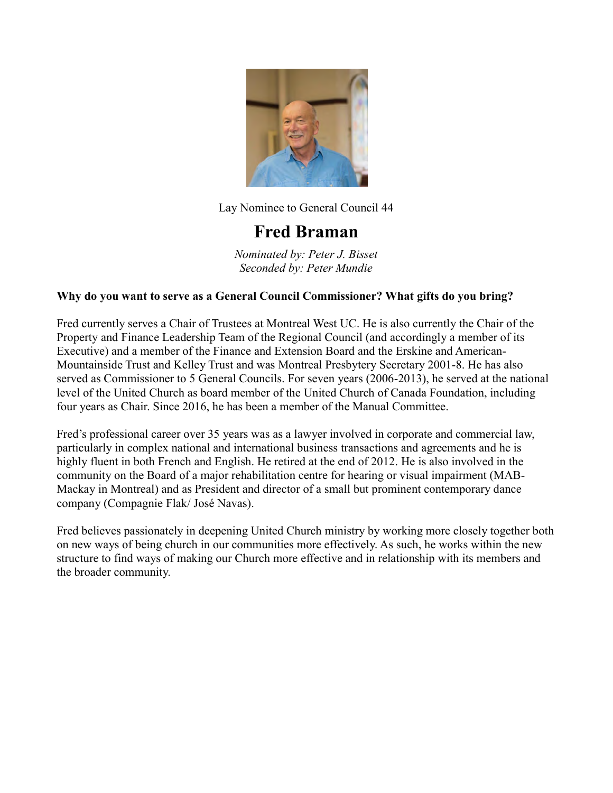

### Fred Braman

Nominated by: Peter J. Bisset Seconded by: Peter Mundie

#### Why do you want to serve as a General Council Commissioner? What gifts do you bring?

Fred currently serves a Chair of Trustees at Montreal West UC. He is also currently the Chair of the Property and Finance Leadership Team of the Regional Council (and accordingly a member of its Executive) and a member of the Finance and Extension Board and the Erskine and American-Mountainside Trust and Kelley Trust and was Montreal Presbytery Secretary 2001-8. He has also served as Commissioner to 5 General Councils. For seven years (2006-2013), he served at the national level of the United Church as board member of the United Church of Canada Foundation, including four years as Chair. Since 2016, he has been a member of the Manual Committee.

Fred's professional career over 35 years was as a lawyer involved in corporate and commercial law, particularly in complex national and international business transactions and agreements and he is highly fluent in both French and English. He retired at the end of 2012. He is also involved in the community on the Board of a major rehabilitation centre for hearing or visual impairment (MAB-Mackay in Montreal) and as President and director of a small but prominent contemporary dance company (Compagnie Flak/ José Navas).

Fred believes passionately in deepening United Church ministry by working more closely together both on new ways of being church in our communities more effectively. As such, he works within the new structure to find ways of making our Church more effective and in relationship with its members and the broader community.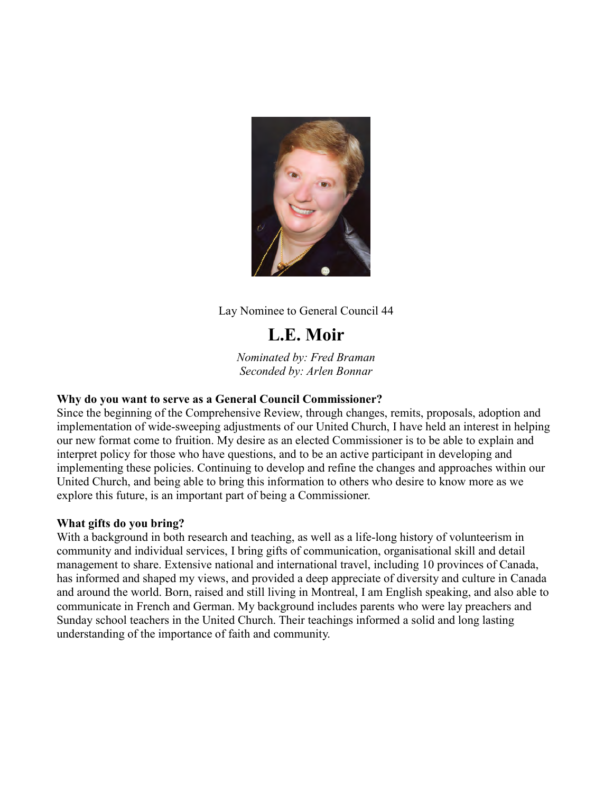

# L.E. Moir

Nominated by: Fred Braman Seconded by: Arlen Bonnar

### Why do you want to serve as a General Council Commissioner?

Since the beginning of the Comprehensive Review, through changes, remits, proposals, adoption and implementation of wide-sweeping adjustments of our United Church, I have held an interest in helping our new format come to fruition. My desire as an elected Commissioner is to be able to explain and interpret policy for those who have questions, and to be an active participant in developing and implementing these policies. Continuing to develop and refine the changes and approaches within our United Church, and being able to bring this information to others who desire to know more as we explore this future, is an important part of being a Commissioner.

### What gifts do you bring?

With a background in both research and teaching, as well as a life-long history of volunteerism in community and individual services, I bring gifts of communication, organisational skill and detail management to share. Extensive national and international travel, including 10 provinces of Canada, has informed and shaped my views, and provided a deep appreciate of diversity and culture in Canada and around the world. Born, raised and still living in Montreal, I am English speaking, and also able to communicate in French and German. My background includes parents who were lay preachers and Sunday school teachers in the United Church. Their teachings informed a solid and long lasting understanding of the importance of faith and community.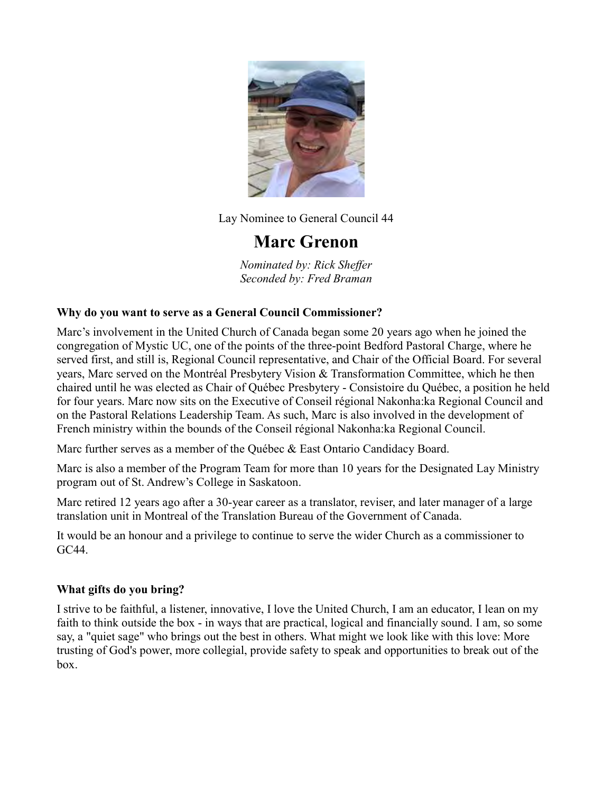

### Marc Grenon

Nominated by: Rick Sheffer Seconded by: Fred Braman

### Why do you want to serve as a General Council Commissioner?

Marc's involvement in the United Church of Canada began some 20 years ago when he joined the congregation of Mystic UC, one of the points of the three-point Bedford Pastoral Charge, where he served first, and still is, Regional Council representative, and Chair of the Official Board. For several years, Marc served on the Montréal Presbytery Vision & Transformation Committee, which he then chaired until he was elected as Chair of Québec Presbytery - Consistoire du Québec, a position he held for four years. Marc now sits on the Executive of Conseil régional Nakonha:ka Regional Council and on the Pastoral Relations Leadership Team. As such, Marc is also involved in the development of French ministry within the bounds of the Conseil régional Nakonha:ka Regional Council.

Marc further serves as a member of the Québec & East Ontario Candidacy Board.

Marc is also a member of the Program Team for more than 10 years for the Designated Lay Ministry program out of St. Andrew's College in Saskatoon.

Marc retired 12 years ago after a 30-year career as a translator, reviser, and later manager of a large translation unit in Montreal of the Translation Bureau of the Government of Canada.

It would be an honour and a privilege to continue to serve the wider Church as a commissioner to GC44.

### What gifts do you bring?

I strive to be faithful, a listener, innovative, I love the United Church, I am an educator, I lean on my faith to think outside the box - in ways that are practical, logical and financially sound. I am, so some say, a "quiet sage" who brings out the best in others. What might we look like with this love: More trusting of God's power, more collegial, provide safety to speak and opportunities to break out of the box.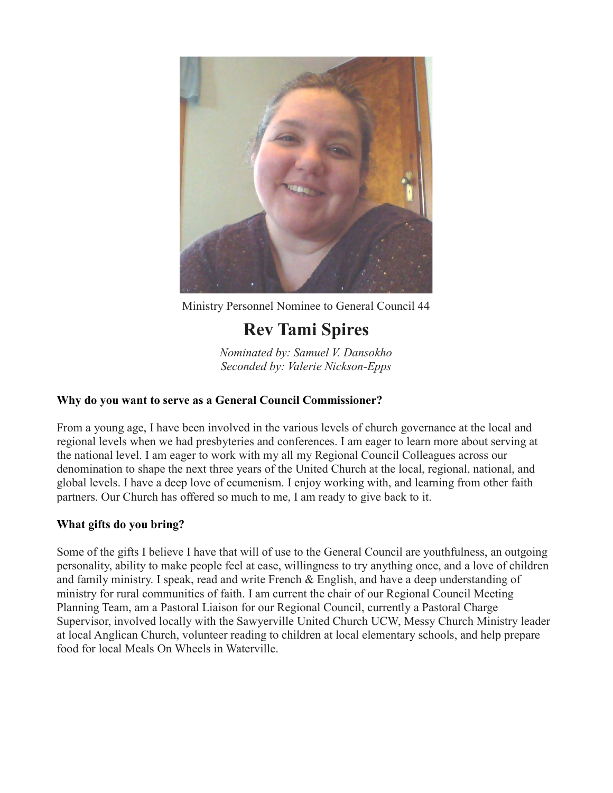

Ministry Personnel Nominee to General Council 44

# Rev Tami Spires

Nominated by: Samuel V. Dansokho Seconded by: Valerie Nickson-Epps

### Why do you want to serve as a General Council Commissioner?

From a young age, I have been involved in the various levels of church governance at the local and regional levels when we had presbyteries and conferences. I am eager to learn more about serving at the national level. I am eager to work with my all my Regional Council Colleagues across our denomination to shape the next three years of the United Church at the local, regional, national, and global levels. I have a deep love of ecumenism. I enjoy working with, and learning from other faith partners. Our Church has offered so much to me, I am ready to give back to it.

### What gifts do you bring?

Some of the gifts I believe I have that will of use to the General Council are youthfulness, an outgoing personality, ability to make people feel at ease, willingness to try anything once, and a love of children and family ministry. I speak, read and write French & English, and have a deep understanding of ministry for rural communities of faith. I am current the chair of our Regional Council Meeting Planning Team, am a Pastoral Liaison for our Regional Council, currently a Pastoral Charge Supervisor, involved locally with the Sawyerville United Church UCW, Messy Church Ministry leader at local Anglican Church, volunteer reading to children at local elementary schools, and help prepare food for local Meals On Wheels in Waterville.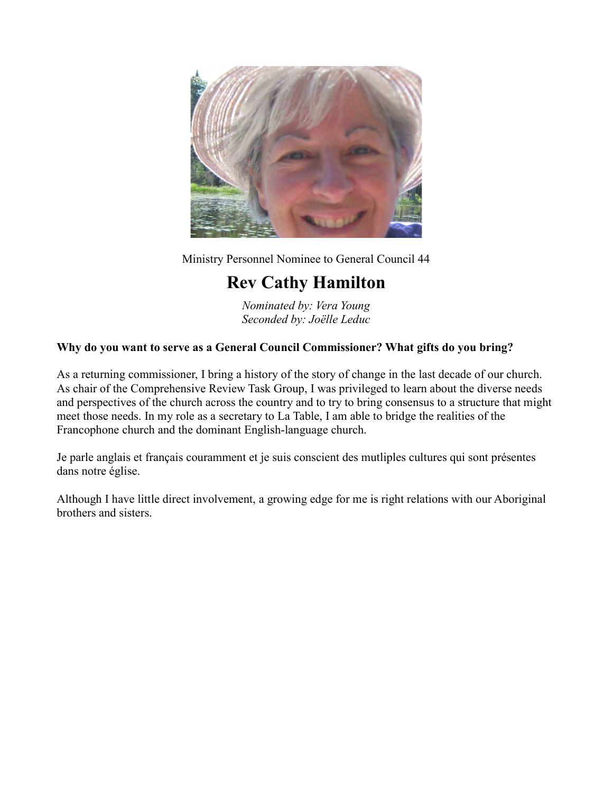

Ministry Personnel Nominee to General Council 44

# Rev Cathy Hamilton

Nominated by: Vera Young Seconded by: Joëlle Leduc

### Why do you want to serve as a General Council Commissioner? What gifts do you bring?

As a returning commissioner, I bring a history of the story of change in the last decade of our church. As chair of the Comprehensive Review Task Group, I was privileged to learn about the diverse needs and perspectives of the church across the country and to try to bring consensus to a structure that might meet those needs. In my role as a secretary to La Table, I am able to bridge the realities of the Francophone church and the dominant English-language church.

Je parle anglais et français couramment et je suis conscient des mutliples cultures qui sont présentes dans notre église.

Although I have little direct involvement, a growing edge for me is right relations with our Aboriginal brothers and sisters.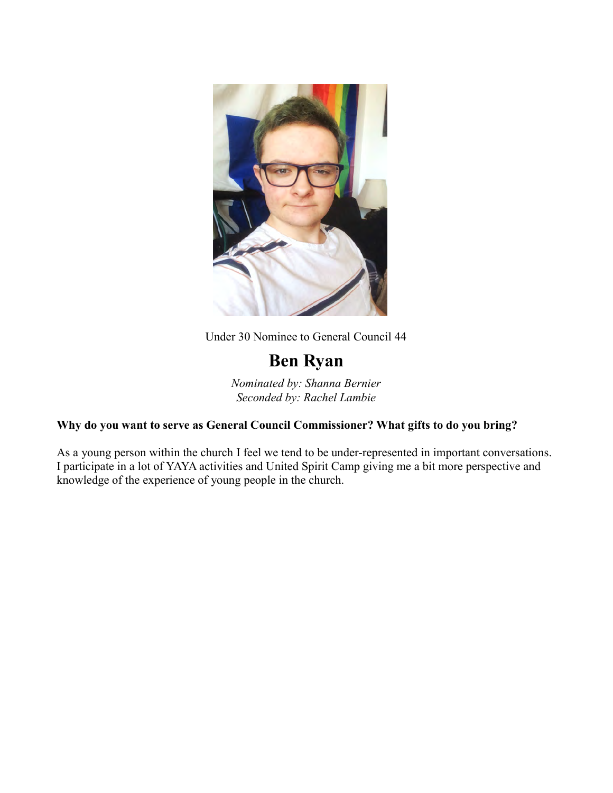

Under 30 Nominee to General Council 44

## Ben Ryan

Nominated by: Shanna Bernier Seconded by: Rachel Lambie

### Why do you want to serve as General Council Commissioner? What gifts to do you bring?

As a young person within the church I feel we tend to be under-represented in important conversations. I participate in a lot of YAYA activities and United Spirit Camp giving me a bit more perspective and knowledge of the experience of young people in the church.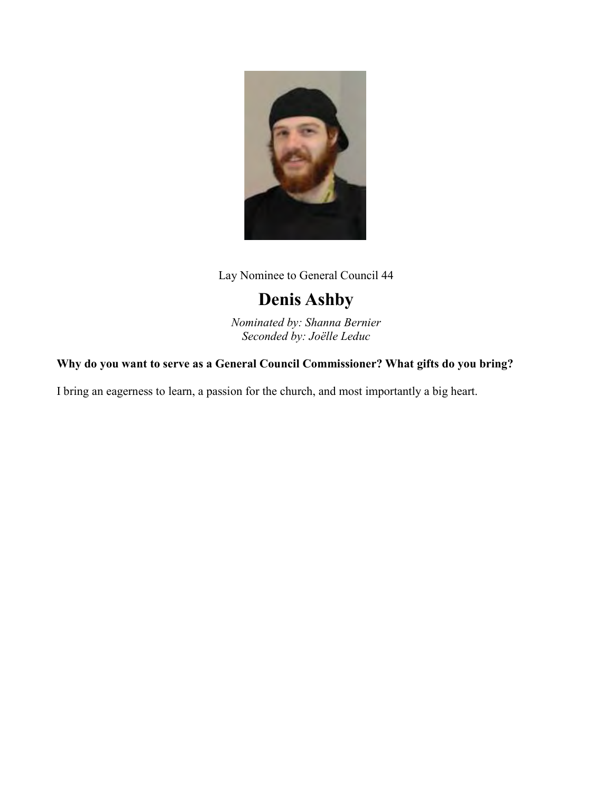

## Denis Ashby

Nominated by: Shanna Bernier Seconded by: Joëlle Leduc

### Why do you want to serve as a General Council Commissioner? What gifts do you bring?

I bring an eagerness to learn, a passion for the church, and most importantly a big heart.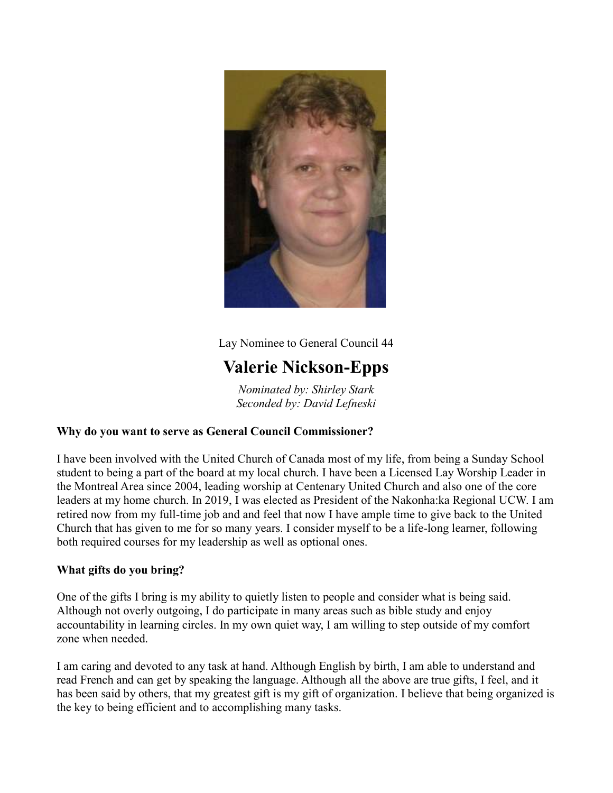

## Valerie Nickson-Epps

Nominated by: Shirley Stark Seconded by: David Lefneski

### Why do you want to serve as General Council Commissioner?

I have been involved with the United Church of Canada most of my life, from being a Sunday School student to being a part of the board at my local church. I have been a Licensed Lay Worship Leader in the Montreal Area since 2004, leading worship at Centenary United Church and also one of the core leaders at my home church. In 2019, I was elected as President of the Nakonha:ka Regional UCW. I am retired now from my full-time job and and feel that now I have ample time to give back to the United Church that has given to me for so many years. I consider myself to be a life-long learner, following both required courses for my leadership as well as optional ones.

### What gifts do you bring?

One of the gifts I bring is my ability to quietly listen to people and consider what is being said. Although not overly outgoing, I do participate in many areas such as bible study and enjoy accountability in learning circles. In my own quiet way, I am willing to step outside of my comfort zone when needed.

I am caring and devoted to any task at hand. Although English by birth, I am able to understand and read French and can get by speaking the language. Although all the above are true gifts, I feel, and it has been said by others, that my greatest gift is my gift of organization. I believe that being organized is the key to being efficient and to accomplishing many tasks.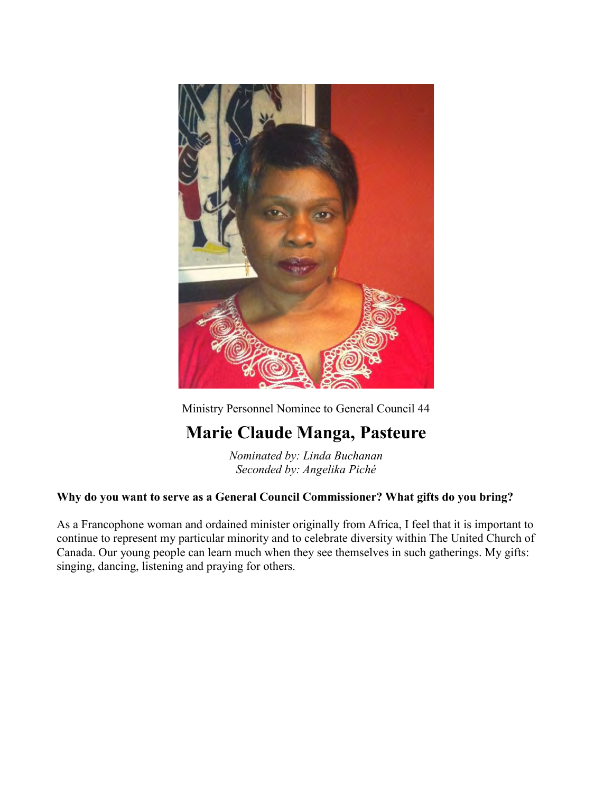

Ministry Personnel Nominee to General Council 44

## Marie Claude Manga, Pasteure

Nominated by: Linda Buchanan Seconded by: Angelika Piché

### Why do you want to serve as a General Council Commissioner? What gifts do you bring?

As a Francophone woman and ordained minister originally from Africa, I feel that it is important to continue to represent my particular minority and to celebrate diversity within The United Church of Canada. Our young people can learn much when they see themselves in such gatherings. My gifts: singing, dancing, listening and praying for others.